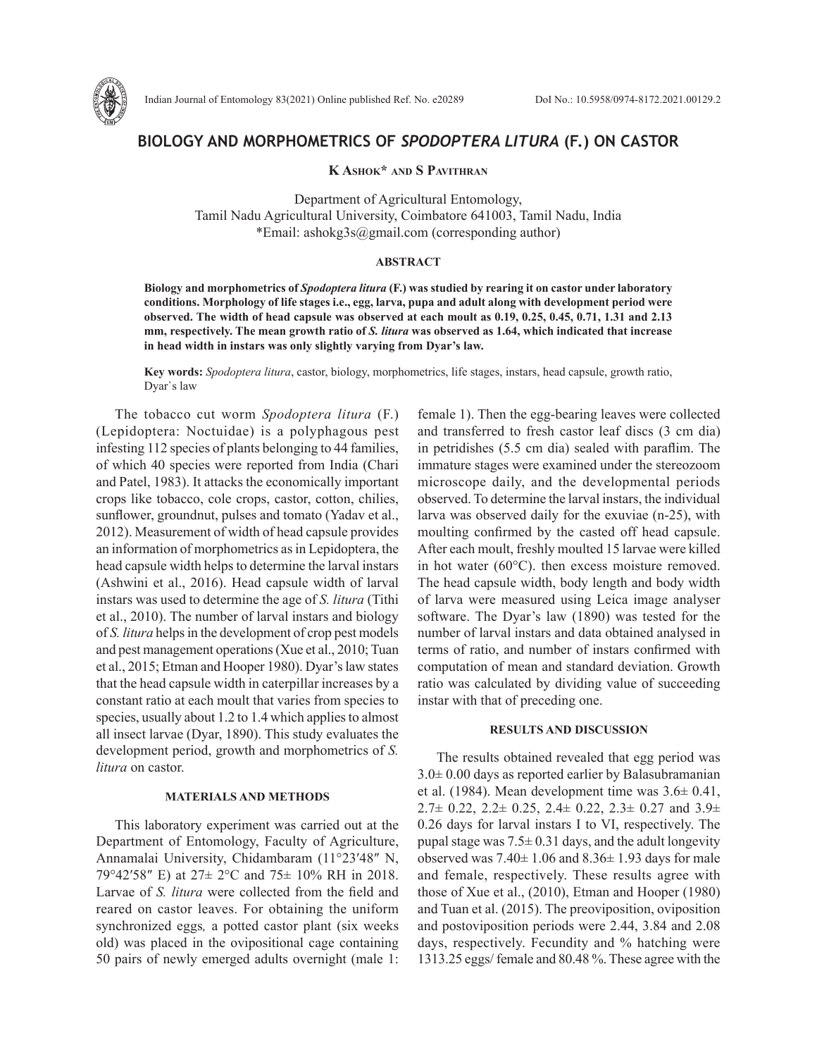

# **BIOLOGY AND MORPHOMETRICS OF** *SPODOPTERA LITURA* **(F.) ON CASTOR**

**K Ashok\* and S Pavithran**

Department of Agricultural Entomology, Tamil Nadu Agricultural University, Coimbatore 641003, Tamil Nadu, India \*Email: ashokg3s@gmail.com (corresponding author)

# **ABSTRACT**

**Biology and morphometrics of** *Spodoptera litura* **(F.) was studied by rearing it on castor under laboratory conditions. Morphology of life stages i.e., egg, larva, pupa and adult along with development period were observed. The width of head capsule was observed at each moult as 0.19, 0.25, 0.45, 0.71, 1.31 and 2.13 mm, respectively. The mean growth ratio of** *S. litura* **was observed as 1.64, which indicated that increase in head width in instars was only slightly varying from Dyar's law.** 

**Key words:** *Spodoptera litura*, castor, biology, morphometrics, life stages, instars, head capsule, growth ratio, Dyar`s law

The tobacco cut worm *Spodoptera litura* (F.) (Lepidoptera: Noctuidae) is a polyphagous pest infesting 112 species of plants belonging to 44 families, of which 40 species were reported from India (Chari and Patel, 1983). It attacks the economically important crops like tobacco, cole crops, castor, cotton, chilies, sunflower, groundnut, pulses and tomato (Yadav et al., 2012). Measurement of width of head capsule provides an information of morphometrics as in Lepidoptera, the head capsule width helps to determine the larval instars (Ashwini et al., 2016). Head capsule width of larval instars was used to determine the age of *S. litura* (Tithi et al., 2010). The number of larval instars and biology of *S. litura* helps in the development of crop pest models and pest management operations (Xue et al., 2010; Tuan et al., 2015; Etman and Hooper 1980). Dyar's law states that the head capsule width in caterpillar increases by a constant ratio at each moult that varies from species to species, usually about 1.2 to 1.4 which applies to almost all insect larvae (Dyar, 1890). This study evaluates the development period, growth and morphometrics of *S. litura* on castor.

#### **MATERIALS AND METHODS**

This laboratory experiment was carried out at the Department of Entomology, Faculty of Agriculture, Annamalai University, Chidambaram (11°23′48″ N, 79°42′58″ E) at 27± 2°C and 75± 10% RH in 2018. Larvae of *S. litura* were collected from the field and reared on castor leaves. For obtaining the uniform synchronized eggs*,* a potted castor plant (six weeks old) was placed in the ovipositional cage containing 50 pairs of newly emerged adults overnight (male 1:

female 1). Then the egg-bearing leaves were collected and transferred to fresh castor leaf discs (3 cm dia) in petridishes (5.5 cm dia) sealed with paraflim. The immature stages were examined under the stereozoom microscope daily, and the developmental periods observed. To determine the larval instars, the individual larva was observed daily for the exuviae (n-25), with moulting confirmed by the casted off head capsule. After each moult, freshly moulted 15 larvae were killed in hot water (60°C). then excess moisture removed. The head capsule width, body length and body width of larva were measured using Leica image analyser software. The Dyar's law (1890) was tested for the number of larval instars and data obtained analysed in terms of ratio, and number of instars confirmed with computation of mean and standard deviation. Growth ratio was calculated by dividing value of succeeding instar with that of preceding one.

### **RESULTS AND DISCUSSION**

The results obtained revealed that egg period was  $3.0\pm 0.00$  days as reported earlier by Balasubramanian et al. (1984). Mean development time was 3.6± 0.41,  $2.7\pm 0.22$ ,  $2.2\pm 0.25$ ,  $2.4\pm 0.22$ ,  $2.3\pm 0.27$  and  $3.9\pm$ 0.26 days for larval instars I to VI, respectively. The pupal stage was  $7.5\pm 0.31$  days, and the adult longevity observed was  $7.40 \pm 1.06$  and  $8.36 \pm 1.93$  days for male and female, respectively. These results agree with those of Xue et al., (2010), Etman and Hooper (1980) and Tuan et al. (2015). The preoviposition, oviposition and postoviposition periods were 2.44, 3.84 and 2.08 days, respectively. Fecundity and % hatching were 1313.25 eggs/ female and 80.48 %. These agree with the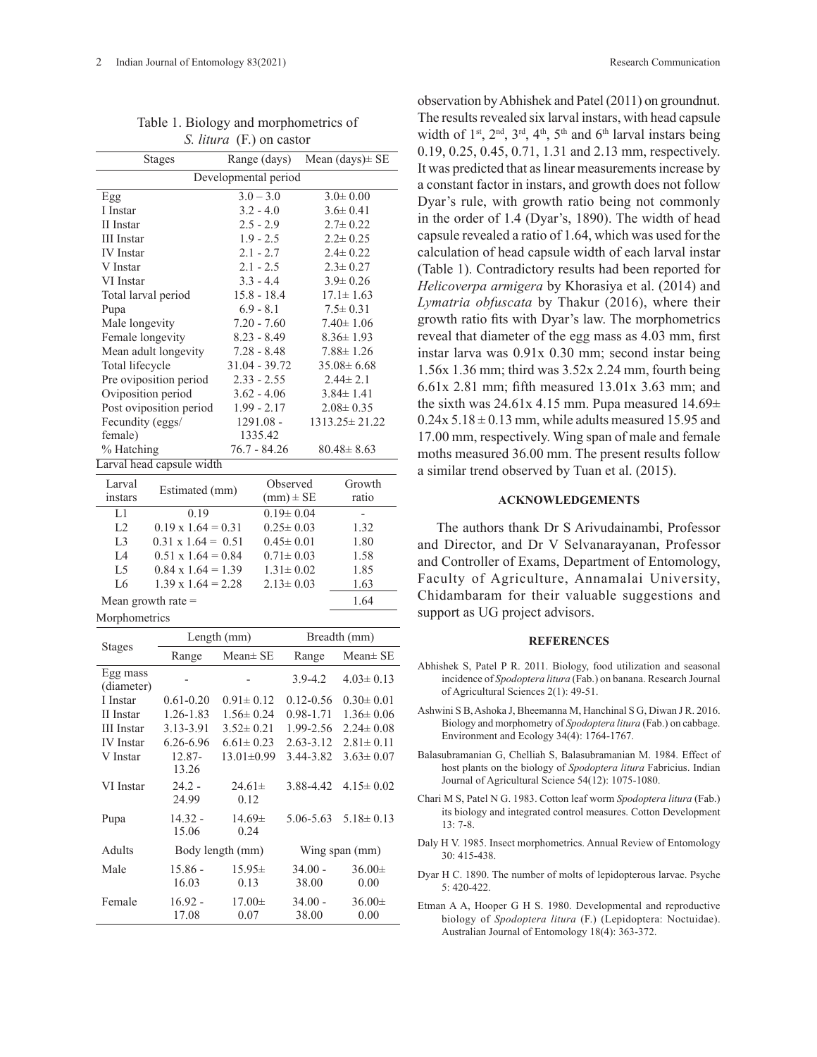| S. <i>litura</i> (F.) on castor |                           |                 |                 |                      |                |  |  |  |
|---------------------------------|---------------------------|-----------------|-----------------|----------------------|----------------|--|--|--|
| <b>Stages</b>                   |                           | Range (days)    |                 | Mean $(days) \pm SE$ |                |  |  |  |
| Developmental period            |                           |                 |                 |                      |                |  |  |  |
| Egg                             |                           | $3.0 - 3.0$     |                 | $3.0 \pm 0.00$       |                |  |  |  |
| I Instar                        |                           | $3.2 - 4.0$     |                 | $3.6 \pm 0.41$       |                |  |  |  |
| II Instar                       |                           | $2.5 - 2.9$     |                 | $2.7 \pm 0.22$       |                |  |  |  |
| <b>III</b> Instar               |                           | $1.9 - 2.5$     |                 | $2.2 \pm 0.25$       |                |  |  |  |
| <b>IV</b> Instar                |                           |                 | $2.1 - 2.7$     | $2.4 \pm 0.22$       |                |  |  |  |
| V Instar                        |                           | $2.1 - 2.5$     |                 | $2.3 \pm 0.27$       |                |  |  |  |
| VI Instar                       |                           |                 | $3.3 - 4.4$     | $3.9 \pm 0.26$       |                |  |  |  |
| Total larval period             |                           | $15.8 - 18.4$   |                 | $17.1 \pm 1.63$      |                |  |  |  |
| Pupa                            |                           | $6.9 - 8.1$     |                 | $7.5 \pm 0.31$       |                |  |  |  |
| Male longevity                  |                           | $7.20 - 7.60$   |                 | $7.40 \pm 1.06$      |                |  |  |  |
| Female longevity                |                           | $8.23 - 8.49$   |                 | $8.36 \pm 1.93$      |                |  |  |  |
| Mean adult longevity            |                           | $7.28 - 8.48$   |                 | $7.88 \pm 1.26$      |                |  |  |  |
| Total lifecycle                 |                           | $31.04 - 39.72$ |                 | $35.08 \pm 6.68$     |                |  |  |  |
| Pre oviposition period          |                           | $2.33 - 2.55$   |                 | $2.44 \pm 2.1$       |                |  |  |  |
| Oviposition period              |                           | $3.62 - 4.06$   |                 | $3.84 \pm 1.41$      |                |  |  |  |
| Post oviposition period         |                           | $1.99 - 2.17$   |                 | $2.08 \pm 0.35$      |                |  |  |  |
| Fecundity (eggs/                |                           | $1291.08 -$     |                 | $1313.25 \pm 21.22$  |                |  |  |  |
| female)                         |                           | 1335.42         |                 |                      |                |  |  |  |
| % Hatching                      |                           | $76.7 - 84.26$  |                 | $80.48 \pm 8.63$     |                |  |  |  |
| Larval head capsule width       |                           |                 |                 |                      |                |  |  |  |
| Larval                          |                           |                 | Observed        |                      | Growth         |  |  |  |
| Estimated (mm)<br>instars       |                           |                 | $(mm) \pm SE$   |                      | ratio          |  |  |  |
| L1                              | 0.19                      |                 | $0.19 \pm 0.04$ |                      | $\overline{a}$ |  |  |  |
| L2                              | $0.19 \times 1.64 = 0.31$ |                 | $0.25 \pm 0.03$ |                      | 1.32           |  |  |  |
| L <sub>3</sub>                  | $0.31 \times 1.64 = 0.51$ |                 | $0.45 \pm 0.01$ |                      | 1.80           |  |  |  |
| L4                              | $0.51 \times 1.64 = 0.84$ |                 | $0.71 \pm 0.03$ |                      | 1.58           |  |  |  |
| L5                              | $0.84 \times 1.64 = 1.39$ |                 | $1.31 \pm 0.02$ |                      | 1.85           |  |  |  |
| L <sub>6</sub>                  | $1.39 \times 1.64 = 2.28$ |                 | $2.13 \pm 0.03$ |                      | 1.63           |  |  |  |

Table 1. Biology and morphometrics of

Mean growth rate  $=$  1.64

Morphometrics

|                        | Length (mm)        |                     | Breadth (mm)       |                     |  |
|------------------------|--------------------|---------------------|--------------------|---------------------|--|
| <b>Stages</b>          | Range              | $Mean \pm SE$       | Range              | $Mean \pm SE$       |  |
| Egg mass<br>(diameter) |                    |                     | $3.9 - 4.2$        | $4.03 \pm 0.13$     |  |
| I Instar               | $0.61 - 0.20$      | $0.91 \pm 0.12$     | $0.12 - 0.56$      | $0.30 \pm 0.01$     |  |
| II Instar              | 1.26-1.83          | $1.56 \pm 0.24$     | 0.98-1.71          | $1.36 \pm 0.06$     |  |
| <b>III</b> Instar      | 3.13-3.91          | $3.52 \pm 0.21$     | 1.99-2.56          | $2.24 \pm 0.08$     |  |
| <b>IV</b> Instar       | 6.26-6.96          | $6.61 \pm 0.23$     | $2.63 - 3.12$      | $2.81 \pm 0.11$     |  |
| V Instar               | 12.87-<br>13.26    | $13.01 \pm 0.99$    | 3.44-3.82          | $3.63 \pm 0.07$     |  |
| VI Instar              | $24.2 -$<br>24.99  | $24.61 \pm$<br>0.12 | 3.88-4.42          | $4.15 \pm 0.02$     |  |
| Pupa                   | $14.32 -$<br>15.06 | $14.69 \pm$<br>0.24 | 5.06-5.63          | $5.18 \pm 0.13$     |  |
| Adults                 | Body length (mm)   |                     | Wing span (mm)     |                     |  |
| Male                   | $15.86 -$<br>16.03 | $15.95\pm$<br>0.13  | $34.00 -$<br>38.00 | $36.00 \pm$<br>0.00 |  |
| Female                 | $16.92 -$<br>17.08 | $17.00 \pm$<br>0.07 | $34.00 -$<br>38.00 | $36.00 \pm$<br>0.00 |  |

observation by Abhishek and Patel (2011) on groundnut. The results revealed six larval instars, with head capsule width of  $1<sup>st</sup>$ ,  $2<sup>nd</sup>$ ,  $3<sup>rd</sup>$ ,  $4<sup>th</sup>$ ,  $5<sup>th</sup>$  and  $6<sup>th</sup>$  larval instars being 0.19, 0.25, 0.45, 0.71, 1.31 and 2.13 mm, respectively. It was predicted that as linear measurements increase by a constant factor in instars, and growth does not follow Dyar's rule, with growth ratio being not commonly in the order of 1.4 (Dyar's, 1890). The width of head capsule revealed a ratio of 1.64, which was used for the calculation of head capsule width of each larval instar (Table 1). Contradictory results had been reported for *Helicoverpa armigera* by Khorasiya et al. (2014) and *Lymatria obfuscata* by Thakur (2016), where their growth ratio fits with Dyar's law. The morphometrics reveal that diameter of the egg mass as 4.03 mm, first instar larva was 0.91x 0.30 mm; second instar being 1.56x 1.36 mm; third was 3.52x 2.24 mm, fourth being 6.61x 2.81 mm; fifth measured 13.01x 3.63 mm; and the sixth was  $24.61x$  4.15 mm. Pupa measured  $14.69\pm$  $0.24x$  5.18  $\pm$  0.13 mm, while adults measured 15.95 and 17.00 mm, respectively. Wing span of male and female moths measured 36.00 mm. The present results follow a similar trend observed by Tuan et al. (2015).

## **ACKNOWLEDGEMENTS**

The authors thank Dr S Arivudainambi, Professor and Director, and Dr V Selvanarayanan, Professor and Controller of Exams, Department of Entomology, Faculty of Agriculture, Annamalai University, Chidambaram for their valuable suggestions and support as UG project advisors.

#### **REFERENCES**

- Abhishek S, Patel P R. 2011. Biology, food utilization and seasonal incidence of *Spodoptera litura* (Fab.) on banana. Research Journal of Agricultural Sciences 2(1): 49-51.
- Ashwini S B, Ashoka J, Bheemanna M, Hanchinal S G, Diwan J R. 2016. Biology and morphometry of *Spodoptera litura* (Fab.) on cabbage. Environment and Ecology 34(4): 1764-1767.
- Balasubramanian G, Chelliah S, Balasubramanian M. 1984. Effect of host plants on the biology of *Spodoptera litura* Fabricius. Indian Journal of Agricultural Science 54(12): 1075-1080.
- Chari M S, Patel N G. 1983. Cotton leaf worm *Spodoptera litura* (Fab.) its biology and integrated control measures. Cotton Development 13: 7-8.
- Daly H V. 1985. Insect morphometrics. Annual Review of Entomology 30: 415-438.
- Dyar H C. 1890. The number of molts of lepidopterous larvae. Psyche 5: 420-422.
- Etman A A, Hooper G H S. 1980. Developmental and reproductive biology of *Spodoptera litura* (F.) (Lepidoptera: Noctuidae). Australian Journal of Entomology 18(4): 363-372.